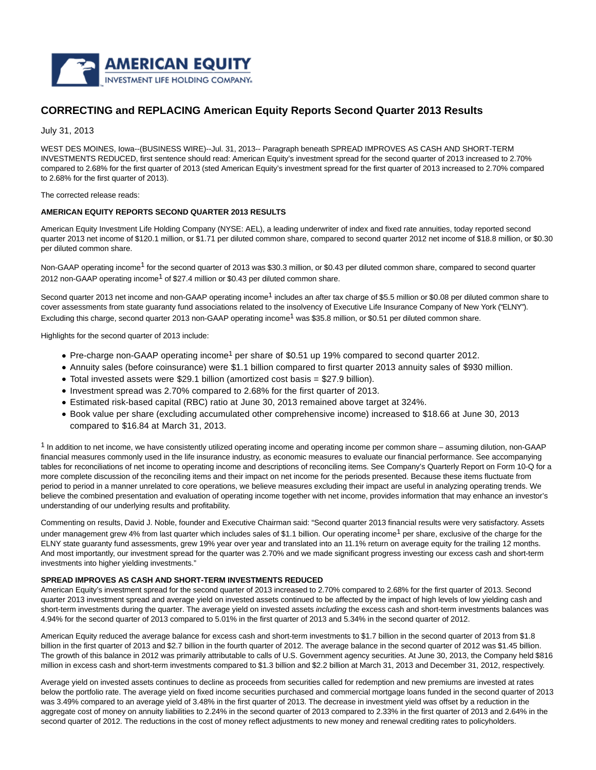

# **CORRECTING and REPLACING American Equity Reports Second Quarter 2013 Results**

July 31, 2013

WEST DES MOINES, Iowa--(BUSINESS WIRE)--Jul. 31, 2013-- Paragraph beneath SPREAD IMPROVES AS CASH AND SHORT-TERM INVESTMENTS REDUCED, first sentence should read: American Equity's investment spread for the second quarter of 2013 increased to 2.70% compared to 2.68% for the first quarter of 2013 (sted American Equity's investment spread for the first quarter of 2013 increased to 2.70% compared to 2.68% for the first quarter of 2013).

The corrected release reads:

## **AMERICAN EQUITY REPORTS SECOND QUARTER 2013 RESULTS**

American Equity Investment Life Holding Company (NYSE: AEL), a leading underwriter of index and fixed rate annuities, today reported second quarter 2013 net income of \$120.1 million, or \$1.71 per diluted common share, compared to second quarter 2012 net income of \$18.8 million, or \$0.30 per diluted common share.

Non-GAAP operating income<sup>1</sup> for the second quarter of 2013 was \$30.3 million, or \$0.43 per diluted common share, compared to second quarter 2012 non-GAAP operating income<sup>1</sup> of \$27.4 million or \$0.43 per diluted common share.

Second quarter 2013 net income and non-GAAP operating income<sup>1</sup> includes an after tax charge of \$5.5 million or \$0.08 per diluted common share to cover assessments from state guaranty fund associations related to the insolvency of Executive Life Insurance Company of New York ("ELNY"). Excluding this charge, second quarter 2013 non-GAAP operating income<sup>1</sup> was \$35.8 million, or \$0.51 per diluted common share.

Highlights for the second quarter of 2013 include:

- Pre-charge non-GAAP operating income<sup>1</sup> per share of \$0.51 up 19% compared to second quarter 2012.
- Annuity sales (before coinsurance) were \$1.1 billion compared to first quarter 2013 annuity sales of \$930 million.
- Total invested assets were \$29.1 billion (amortized cost basis = \$27.9 billion).
- Investment spread was 2.70% compared to 2.68% for the first quarter of 2013.
- Estimated risk-based capital (RBC) ratio at June 30, 2013 remained above target at 324%.
- Book value per share (excluding accumulated other comprehensive income) increased to \$18.66 at June 30, 2013 compared to \$16.84 at March 31, 2013.

 $<sup>1</sup>$  In addition to net income, we have consistently utilized operating income and operating income per common share – assuming dilution, non-GAAP</sup> financial measures commonly used in the life insurance industry, as economic measures to evaluate our financial performance. See accompanying tables for reconciliations of net income to operating income and descriptions of reconciling items. See Company's Quarterly Report on Form 10-Q for a more complete discussion of the reconciling items and their impact on net income for the periods presented. Because these items fluctuate from period to period in a manner unrelated to core operations, we believe measures excluding their impact are useful in analyzing operating trends. We believe the combined presentation and evaluation of operating income together with net income, provides information that may enhance an investor's understanding of our underlying results and profitability.

Commenting on results, David J. Noble, founder and Executive Chairman said: "Second quarter 2013 financial results were very satisfactory. Assets under management grew 4% from last quarter which includes sales of \$1.1 billion. Our operating income<sup>1</sup> per share, exclusive of the charge for the ELNY state guaranty fund assessments, grew 19% year over year and translated into an 11.1% return on average equity for the trailing 12 months. And most importantly, our investment spread for the quarter was 2.70% and we made significant progress investing our excess cash and short-term investments into higher yielding investments."

## **SPREAD IMPROVES AS CASH AND SHORT-TERM INVESTMENTS REDUCED**

American Equity's investment spread for the second quarter of 2013 increased to 2.70% compared to 2.68% for the first quarter of 2013. Second quarter 2013 investment spread and average yield on invested assets continued to be affected by the impact of high levels of low yielding cash and short-term investments during the quarter. The average yield on invested assets including the excess cash and short-term investments balances was 4.94% for the second quarter of 2013 compared to 5.01% in the first quarter of 2013 and 5.34% in the second quarter of 2012.

American Equity reduced the average balance for excess cash and short-term investments to \$1.7 billion in the second quarter of 2013 from \$1.8 billion in the first quarter of 2013 and \$2.7 billion in the fourth quarter of 2012. The average balance in the second quarter of 2012 was \$1.45 billion. The growth of this balance in 2012 was primarily attributable to calls of U.S. Government agency securities. At June 30, 2013, the Company held \$816 million in excess cash and short-term investments compared to \$1.3 billion and \$2.2 billion at March 31, 2013 and December 31, 2012, respectively.

Average yield on invested assets continues to decline as proceeds from securities called for redemption and new premiums are invested at rates below the portfolio rate. The average yield on fixed income securities purchased and commercial mortgage loans funded in the second quarter of 2013 was 3.49% compared to an average yield of 3.48% in the first quarter of 2013. The decrease in investment yield was offset by a reduction in the aggregate cost of money on annuity liabilities to 2.24% in the second quarter of 2013 compared to 2.33% in the first quarter of 2013 and 2.64% in the second quarter of 2012. The reductions in the cost of money reflect adjustments to new money and renewal crediting rates to policyholders.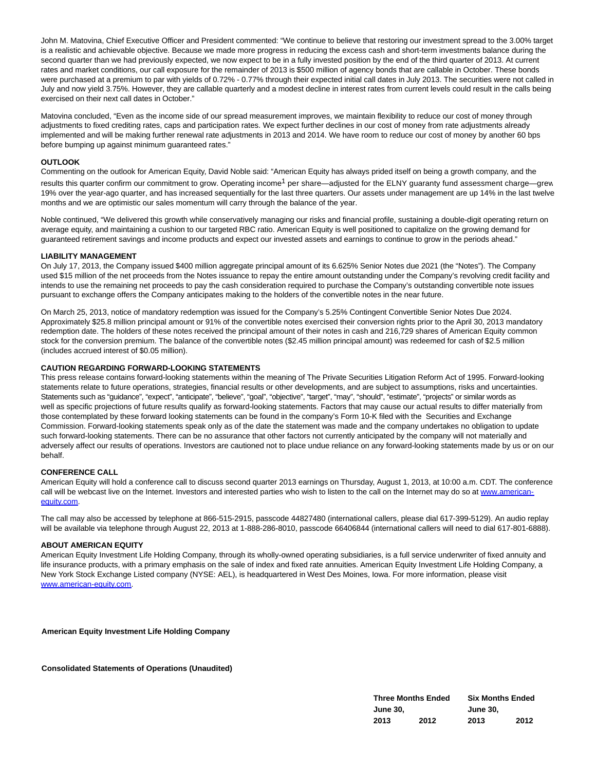John M. Matovina, Chief Executive Officer and President commented: "We continue to believe that restoring our investment spread to the 3.00% target is a realistic and achievable objective. Because we made more progress in reducing the excess cash and short-term investments balance during the second quarter than we had previously expected, we now expect to be in a fully invested position by the end of the third quarter of 2013. At current rates and market conditions, our call exposure for the remainder of 2013 is \$500 million of agency bonds that are callable in October. These bonds were purchased at a premium to par with yields of 0.72% - 0.77% through their expected initial call dates in July 2013. The securities were not called in July and now yield 3.75%. However, they are callable quarterly and a modest decline in interest rates from current levels could result in the calls being exercised on their next call dates in October."

Matovina concluded, "Even as the income side of our spread measurement improves, we maintain flexibility to reduce our cost of money through adjustments to fixed crediting rates, caps and participation rates. We expect further declines in our cost of money from rate adjustments already implemented and will be making further renewal rate adjustments in 2013 and 2014. We have room to reduce our cost of money by another 60 bps before bumping up against minimum guaranteed rates."

## **OUTLOOK**

Commenting on the outlook for American Equity, David Noble said: "American Equity has always prided itself on being a growth company, and the results this quarter confirm our commitment to grow. Operating income<sup>1</sup> per share—adjusted for the ELNY guaranty fund assessment charge—grew 19% over the year-ago quarter, and has increased sequentially for the last three quarters. Our assets under management are up 14% in the last twelve months and we are optimistic our sales momentum will carry through the balance of the year.

Noble continued, "We delivered this growth while conservatively managing our risks and financial profile, sustaining a double-digit operating return on average equity, and maintaining a cushion to our targeted RBC ratio. American Equity is well positioned to capitalize on the growing demand for guaranteed retirement savings and income products and expect our invested assets and earnings to continue to grow in the periods ahead."

#### **LIABILITY MANAGEMENT**

On July 17, 2013, the Company issued \$400 million aggregate principal amount of its 6.625% Senior Notes due 2021 (the "Notes"). The Company used \$15 million of the net proceeds from the Notes issuance to repay the entire amount outstanding under the Company's revolving credit facility and intends to use the remaining net proceeds to pay the cash consideration required to purchase the Company's outstanding convertible note issues pursuant to exchange offers the Company anticipates making to the holders of the convertible notes in the near future.

On March 25, 2013, notice of mandatory redemption was issued for the Company's 5.25% Contingent Convertible Senior Notes Due 2024. Approximately \$25.8 million principal amount or 91% of the convertible notes exercised their conversion rights prior to the April 30, 2013 mandatory redemption date. The holders of these notes received the principal amount of their notes in cash and 216,729 shares of American Equity common stock for the conversion premium. The balance of the convertible notes (\$2.45 million principal amount) was redeemed for cash of \$2.5 million (includes accrued interest of \$0.05 million).

# **CAUTION REGARDING FORWARD-LOOKING STATEMENTS**

This press release contains forward-looking statements within the meaning of The Private Securities Litigation Reform Act of 1995. Forward-looking statements relate to future operations, strategies, financial results or other developments, and are subject to assumptions, risks and uncertainties. Statements such as "guidance", "expect", "anticipate", "believe", "goal", "objective", "target", "may", "should", "estimate", "projects" or similar words as well as specific projections of future results qualify as forward-looking statements. Factors that may cause our actual results to differ materially from those contemplated by these forward looking statements can be found in the company's Form 10-K filed with the Securities and Exchange Commission. Forward-looking statements speak only as of the date the statement was made and the company undertakes no obligation to update such forward-looking statements. There can be no assurance that other factors not currently anticipated by the company will not materially and adversely affect our results of operations. Investors are cautioned not to place undue reliance on any forward-looking statements made by us or on our behalf.

## **CONFERENCE CALL**

American Equity will hold a conference call to discuss second quarter 2013 earnings on Thursday, August 1, 2013, at 10:00 a.m. CDT. The conference call will be webcast live on the Internet. Investors and interested parties who wish to listen to the call on the Internet may do so at [www.american](http://cts.businesswire.com/ct/CT?id=smartlink&url=http%3A%2F%2Fwww.american-equity.com&esheet=50682135&newsitemid=20130731006604&lan=en-US&anchor=www.american-equity.com&index=1&md5=1fcbcc1f96557c5c1a8d7cbb64191272)equity.com.

The call may also be accessed by telephone at 866-515-2915, passcode 44827480 (international callers, please dial 617-399-5129). An audio replay will be available via telephone through August 22, 2013 at 1-888-286-8010, passcode 66406844 (international callers will need to dial 617-801-6888).

#### **ABOUT AMERICAN EQUITY**

American Equity Investment Life Holding Company, through its wholly-owned operating subsidiaries, is a full service underwriter of fixed annuity and life insurance products, with a primary emphasis on the sale of index and fixed rate annuities. American Equity Investment Life Holding Company, a New York Stock Exchange Listed company (NYSE: AEL), is headquartered in West Des Moines, Iowa. For more information, please visit [www.american-equity.com.](http://cts.businesswire.com/ct/CT?id=smartlink&url=http%3A%2F%2Fwww.american-equity.com&esheet=50682135&newsitemid=20130731006604&lan=en-US&anchor=www.american-equity.com&index=2&md5=b82353e8a7ef5bc6769693fb2db003d1)

**American Equity Investment Life Holding Company**

**Consolidated Statements of Operations (Unaudited)**

| <b>Three Months Ended</b> |      | <b>Six Months Ended</b> |      |  |
|---------------------------|------|-------------------------|------|--|
| <b>June 30,</b>           |      | <b>June 30.</b>         |      |  |
| 2013                      | 2012 | 2013                    | 2012 |  |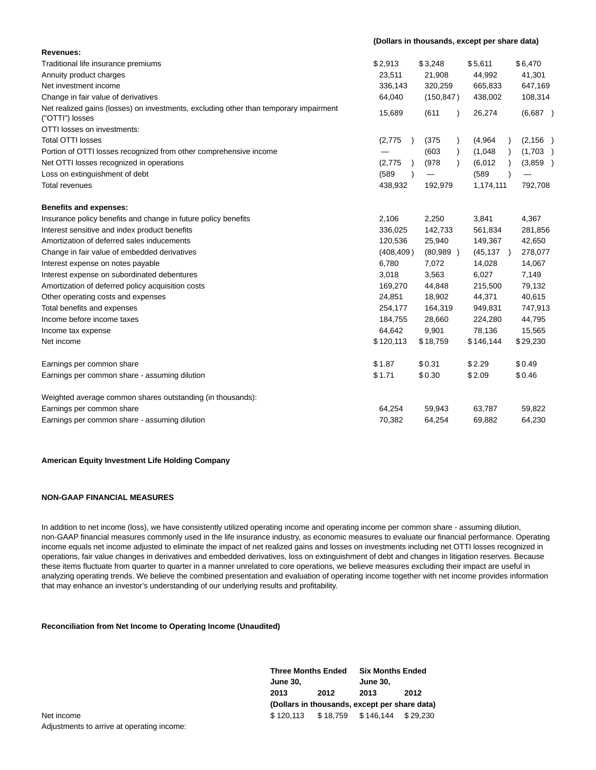| Revenues:                                                                                                |            |                    |           |          |
|----------------------------------------------------------------------------------------------------------|------------|--------------------|-----------|----------|
| Traditional life insurance premiums                                                                      | \$2,913    | \$3,248            | \$5,611   | \$6,470  |
| Annuity product charges                                                                                  | 23,511     | 21,908             | 44,992    | 41,301   |
| Net investment income                                                                                    | 336,143    | 320,259            | 665,833   | 647,169  |
| Change in fair value of derivatives                                                                      | 64,040     | (150, 847)         | 438,002   | 108,314  |
| Net realized gains (losses) on investments, excluding other than temporary impairment<br>("OTTI") losses | 15,689     | (611)<br>$\lambda$ | 26,274    | (6,687)  |
| OTTI losses on investments:                                                                              |            |                    |           |          |
| <b>Total OTTI losses</b>                                                                                 | (2,775)    | (375)              | (4,964)   | (2, 156) |
| Portion of OTTI losses recognized from other comprehensive income                                        |            | (603)<br>$\lambda$ | (1,048)   | (1,703)  |
| Net OTTI losses recognized in operations                                                                 | (2,775)    | (978)<br>$\lambda$ | (6,012)   | (3,859)  |
| Loss on extinguishment of debt                                                                           | (589       |                    | (589      |          |
| <b>Total revenues</b>                                                                                    | 438,932    | 192,979            | 1,174,111 | 792,708  |
| <b>Benefits and expenses:</b>                                                                            |            |                    |           |          |
| Insurance policy benefits and change in future policy benefits                                           | 2,106      | 2,250              | 3,841     | 4,367    |
| Interest sensitive and index product benefits                                                            | 336,025    | 142,733            | 561,834   | 281,856  |
| Amortization of deferred sales inducements                                                               | 120,536    | 25,940             | 149,367   | 42,650   |
| Change in fair value of embedded derivatives                                                             | (408, 409) | (80,989)           | (45, 137) | 278,077  |
| Interest expense on notes payable                                                                        | 6,780      | 7,072              | 14,028    | 14,067   |
| Interest expense on subordinated debentures                                                              | 3,018      | 3,563              | 6,027     | 7,149    |
| Amortization of deferred policy acquisition costs                                                        | 169,270    | 44,848             | 215,500   | 79,132   |
| Other operating costs and expenses                                                                       | 24,851     | 18,902             | 44,371    | 40,615   |
| Total benefits and expenses                                                                              | 254,177    | 164,319            | 949,831   | 747,913  |
| Income before income taxes                                                                               | 184,755    | 28,660             | 224,280   | 44,795   |
| Income tax expense                                                                                       | 64,642     | 9,901              | 78,136    | 15,565   |
| Net income                                                                                               | \$120,113  | \$18,759           | \$146,144 | \$29,230 |
| Earnings per common share                                                                                | \$1.87     | \$0.31             | \$2.29    | \$0.49   |
| Earnings per common share - assuming dilution                                                            | \$1.71     | \$0.30             | \$2.09    | \$0.46   |
| Weighted average common shares outstanding (in thousands):                                               |            |                    |           |          |
| Earnings per common share                                                                                | 64,254     | 59,943             | 63,787    | 59,822   |
| Earnings per common share - assuming dilution                                                            | 70,382     | 64,254             | 69,882    | 64,230   |

**(Dollars in thousands, except per share data)**

## **American Equity Investment Life Holding Company**

# **NON-GAAP FINANCIAL MEASURES**

In addition to net income (loss), we have consistently utilized operating income and operating income per common share - assuming dilution, non-GAAP financial measures commonly used in the life insurance industry, as economic measures to evaluate our financial performance. Operating income equals net income adjusted to eliminate the impact of net realized gains and losses on investments including net OTTI losses recognized in operations, fair value changes in derivatives and embedded derivatives, loss on extinguishment of debt and changes in litigation reserves. Because these items fluctuate from quarter to quarter in a manner unrelated to core operations, we believe measures excluding their impact are useful in analyzing operating trends. We believe the combined presentation and evaluation of operating income together with net income provides information that may enhance an investor's understanding of our underlying results and profitability.

## **Reconciliation from Net Income to Operating Income (Unaudited)**

|            |                 | <b>Three Months Ended</b> |                                               | <b>Six Months Ended</b> |  |
|------------|-----------------|---------------------------|-----------------------------------------------|-------------------------|--|
|            | <b>June 30.</b> |                           | <b>June 30.</b>                               |                         |  |
|            | 2013            | 2012                      | 2013                                          | 2012                    |  |
|            |                 |                           | (Dollars in thousands, except per share data) |                         |  |
| Net income |                 |                           | \$120,113 \$18,759 \$146,144                  | \$29.230                |  |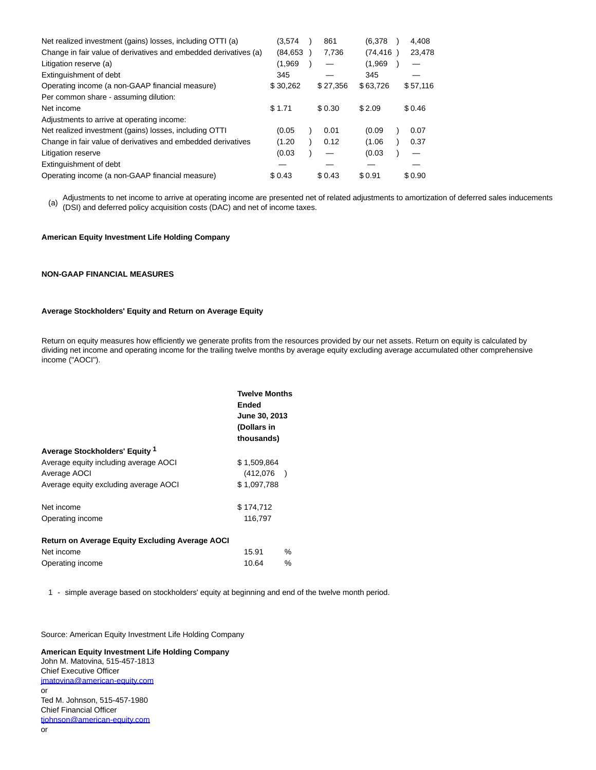| Net realized investment (gains) losses, including OTTI (a)       | (3.574    | 861      | (6,378)   | 4.408    |
|------------------------------------------------------------------|-----------|----------|-----------|----------|
| Change in fair value of derivatives and embedded derivatives (a) | (84, 653) | 7,736    | (74, 416) | 23,478   |
| Litigation reserve (a)                                           | (1,969)   |          | (1,969)   |          |
| Extinguishment of debt                                           | 345       |          | 345       |          |
| Operating income (a non-GAAP financial measure)                  | \$30,262  | \$27,356 | \$63,726  | \$57,116 |
| Per common share - assuming dilution:                            |           |          |           |          |
| Net income                                                       | \$1.71    | \$0.30   | \$2.09    | \$0.46   |
| Adjustments to arrive at operating income:                       |           |          |           |          |
| Net realized investment (gains) losses, including OTTI           | (0.05)    | 0.01     | (0.09)    | 0.07     |
| Change in fair value of derivatives and embedded derivatives     | (1.20)    | 0.12     | (1.06)    | 0.37     |
| Litigation reserve                                               | (0.03)    |          | (0.03)    |          |
| Extinguishment of debt                                           |           |          |           |          |
| Operating income (a non-GAAP financial measure)                  | \$0.43    | \$0.43   | \$0.91    | \$0.90   |

(a) Adjustments to net income to arrive at operating income are presented net of related adjustments to amortization of deferred sales inducements<br>(DSI) and deferred policy acquisition costs (DAC) and not of income taxes (DSI) and deferred policy acquisition costs (DAC) and net of income taxes.

## **American Equity Investment Life Holding Company**

## **NON-GAAP FINANCIAL MEASURES**

## **Average Stockholders' Equity and Return on Average Equity**

Return on equity measures how efficiently we generate profits from the resources provided by our net assets. Return on equity is calculated by dividing net income and operating income for the trailing twelve months by average equity excluding average accumulated other comprehensive income ("AOCI").

|                                                        | <b>Twelve Months</b><br>Ended<br>June 30, 2013<br>(Dollars in<br>thousands) |   |  |
|--------------------------------------------------------|-----------------------------------------------------------------------------|---|--|
| Average Stockholders' Equity 1                         |                                                                             |   |  |
| Average equity including average AOCI                  | \$1,509,864                                                                 |   |  |
| Average AOCI                                           | (412,076)                                                                   |   |  |
| Average equity excluding average AOCI                  | \$1,097,788                                                                 |   |  |
| Net income                                             | \$174,712                                                                   |   |  |
| Operating income                                       | 116,797                                                                     |   |  |
| <b>Return on Average Equity Excluding Average AOCI</b> |                                                                             |   |  |
| Net income                                             | 15.91                                                                       | ℅ |  |
| Operating income                                       | 10.64                                                                       | ℅ |  |

1 - simple average based on stockholders' equity at beginning and end of the twelve month period.

Source: American Equity Investment Life Holding Company

**American Equity Investment Life Holding Company** John M. Matovina, 515-457-1813 Chief Executive Officer [jmatovina@american-equity.com](mailto:jmatovina@american-equity.com) or Ted M. Johnson, 515-457-1980 Chief Financial Officer [tjohnson@american-equity.com](mailto:tjohnson@american-equity.com) or